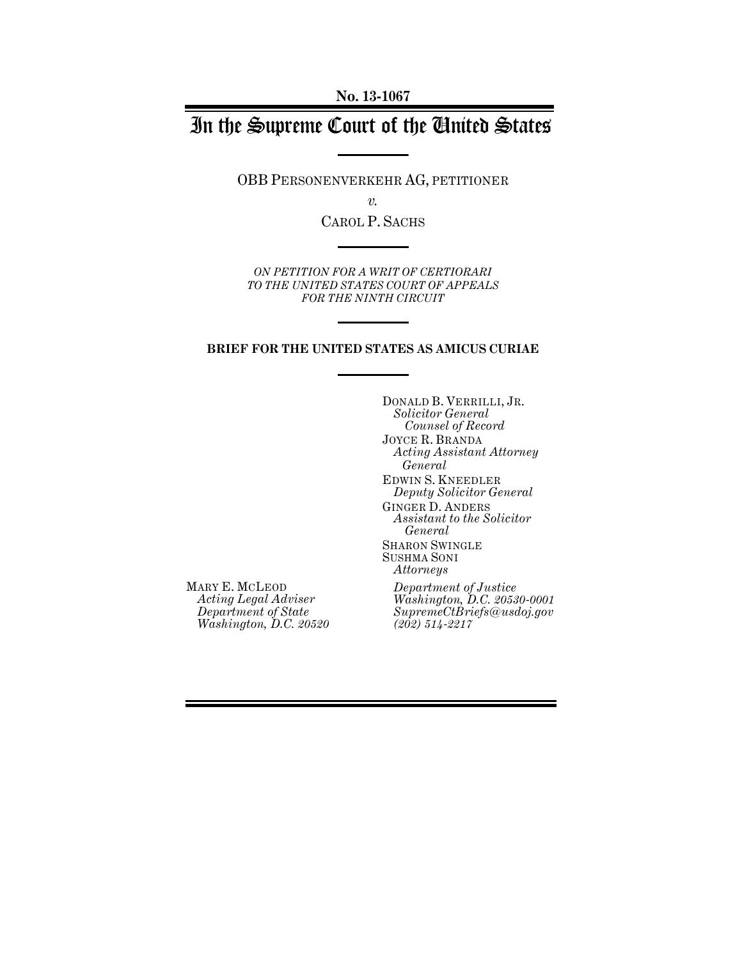# In the Supreme Court of the United States

OBB PERSONENVERKEHR AG, PETITIONER

*v.*

CAROL P. SACHS

*ON PETITION FOR A WRIT OF CERTIORARI TO THE UNITED STATES COURT OF APPEALS FOR THE NINTH CIRCUIT*

#### **BRIEF FOR THE UNITED STATES AS AMICUS CURIAE**

DONALD B. VERRILLI, JR. *Solicitor General Counsel of Record* JOYCE R. BRANDA *Acting Assistant Attorney General* EDWIN S. KNEEDLER *Deputy Solicitor General* GINGER D. ANDERS *Assistant to the Solicitor General* SHARON SWINGLE SUSHMA SONI *Attorneys*

MARY E. MCLEOD *Acting Legal Adviser Department of State Washington, D.C. 20520*

*Department of Justice Washington, D.C. 20530-0001 SupremeCtBriefs@usdoj.gov (202) 514-2217*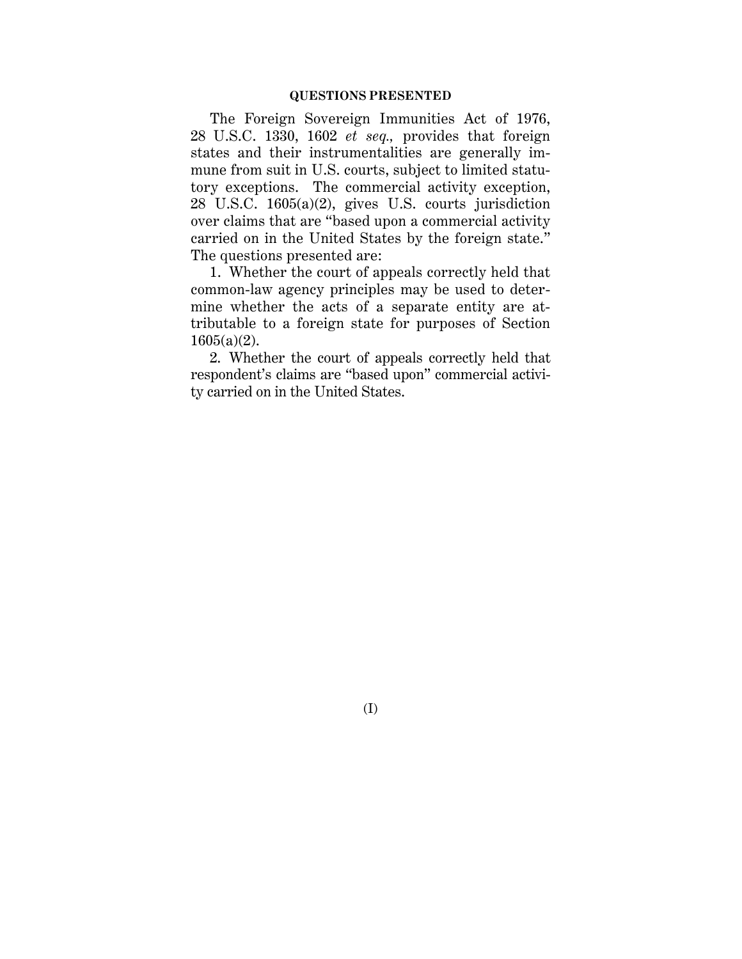The Foreign Sovereign Immunities Act of 1976, 28 U.S.C. 1330, 1602 *et seq.,* provides that foreign states and their instrumentalities are generally immune from suit in U.S. courts, subject to limited statutory exceptions. The commercial activity exception, 28 U.S.C. 1605(a)(2), gives U.S. courts jurisdiction over claims that are "based upon a commercial activity carried on in the United States by the foreign state." The questions presented are:

1. Whether the court of appeals correctly held that common-law agency principles may be used to determine whether the acts of a separate entity are attributable to a foreign state for purposes of Section 1605(a)(2).

2. Whether the court of appeals correctly held that respondent's claims are "based upon" commercial activity carried on in the United States.

(I)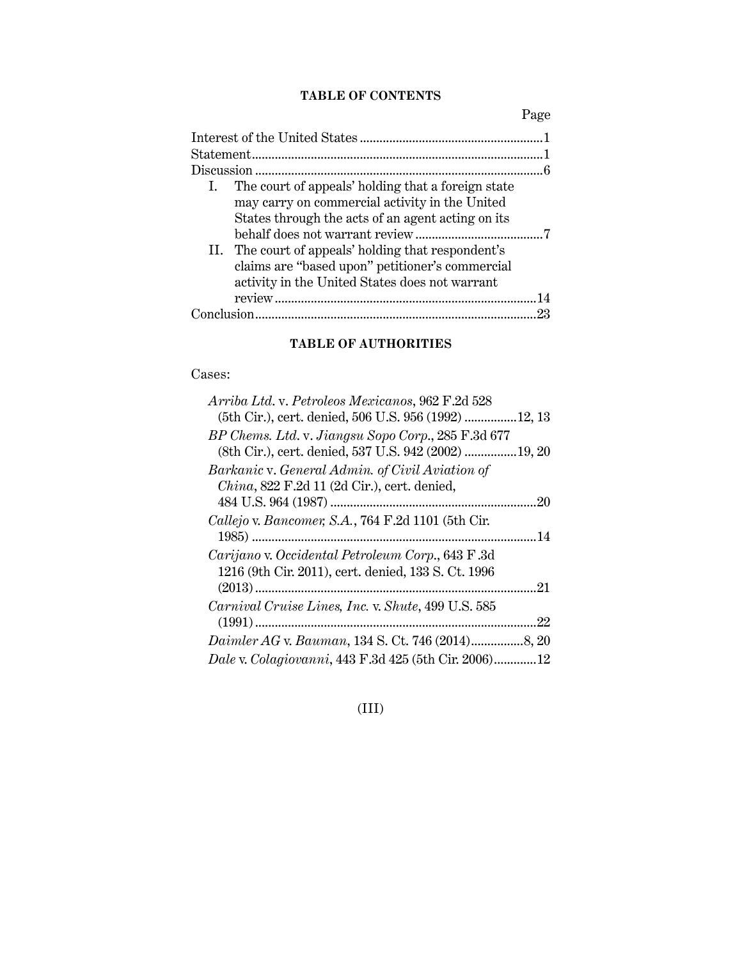### **TABLE OF CONTENTS**

Page

| The court of appeals' holding that a foreign state<br>L.<br>may carry on commercial activity in the United<br>States through the acts of an agent acting on its |
|-----------------------------------------------------------------------------------------------------------------------------------------------------------------|
|                                                                                                                                                                 |
| II. The court of appeals' holding that respondent's<br>claims are "based upon" petitioner's commercial<br>activity in the United States does not warrant        |
|                                                                                                                                                                 |
| 23                                                                                                                                                              |

## **TABLE OF AUTHORITIES**

#### Cases:

| Arriba Ltd. v. Petroleos Mexicanos, 962 F.2d 528      |
|-------------------------------------------------------|
| (5th Cir.), cert. denied, 506 U.S. 956 (1992) 12, 13  |
| BP Chems. Ltd. v. Jiangsu Sopo Corp., 285 F.3d 677    |
| (8th Cir.), cert. denied, 537 U.S. 942 (2002)  19, 20 |
| Barkanic v. General Admin. of Civil Aviation of       |
| China, 822 F.2d 11 (2d Cir.), cert. denied,           |
| .20                                                   |
| Callejo v. Bancomer, S.A., 764 F.2d 1101 (5th Cir.    |
|                                                       |
| Carijano v. Occidental Petroleum Corp., 643 F.3d      |
| 1216 (9th Cir. 2011), cert. denied, 133 S. Ct. 1996   |
| .21                                                   |
| Carnival Cruise Lines, Inc. v. Shute, 499 U.S. 585    |
| .22                                                   |
|                                                       |
| Dale v. Colagiovanni, 443 F.3d 425 (5th Cir. 2006)12  |

## (III)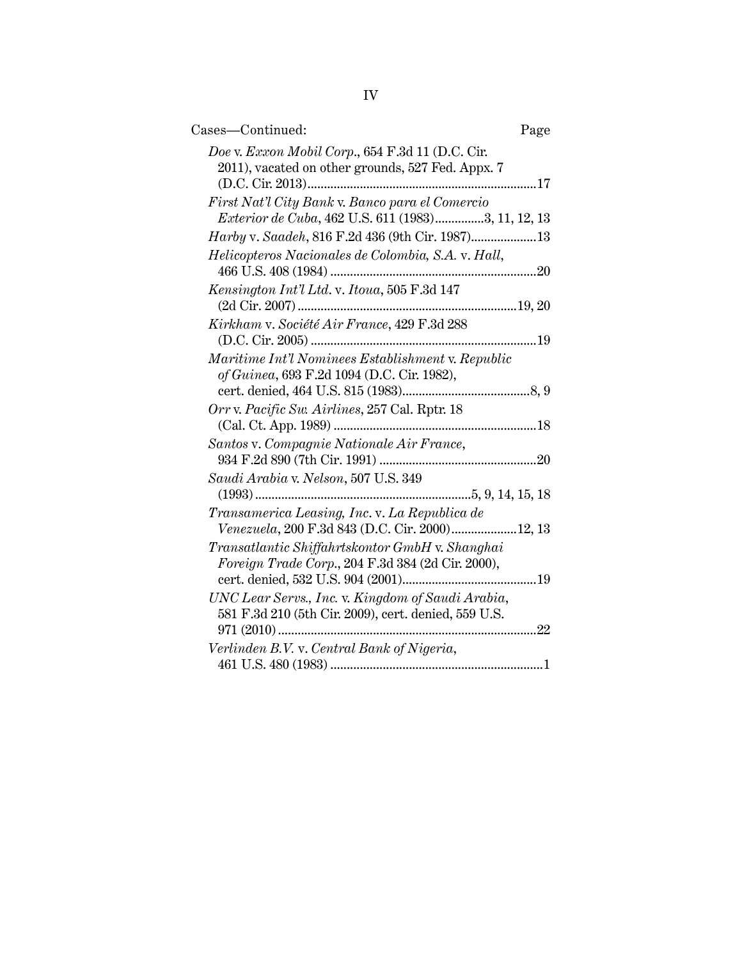| Cases-Continued:<br>Page                                                                                        |
|-----------------------------------------------------------------------------------------------------------------|
| Doe v. Exxon Mobil Corp., 654 F.3d 11 (D.C. Cir.<br>2011), vacated on other grounds, 527 Fed. Appx. 7           |
| First Nat'l City Bank v. Banco para el Comercio<br>Exterior de Cuba, 462 U.S. 611 (1983)3, 11, 12, 13           |
| Harby v. Saadeh, 816 F.2d 436 (9th Cir. 1987)13                                                                 |
| Helicopteros Nacionales de Colombia, S.A. v. Hall,                                                              |
| Kensington Int'l Ltd. v. Itoua, 505 F.3d 147                                                                    |
| Kirkham v. Société Air France, 429 F.3d 288                                                                     |
| Maritime Int'l Nominees Establishment v. Republic<br>of Guinea, 693 F.2d 1094 (D.C. Cir. 1982),<br>8,9          |
| Orr v. Pacific Sw. Airlines, 257 Cal. Rptr. 18                                                                  |
| Santos v. Compagnie Nationale Air France,                                                                       |
| Saudi Arabia v. Nelson, 507 U.S. 349<br>$(1993)$                                                                |
| Transamerica Leasing, Inc. v. La Republica de<br>Venezuela, 200 F.3d 843 (D.C. Cir. 2000)12, 13                 |
| Transatlantic Shiffahrtskontor GmbH v. Shanghai<br>Foreign Trade Corp., 204 F.3d 384 (2d Cir. 2000),            |
| UNC Lear Servs., Inc. v. Kingdom of Saudi Arabia,<br>581 F.3d 210 (5th Cir. 2009), cert. denied, 559 U.S.<br>22 |
| Verlinden B.V. v. Central Bank of Nigeria,                                                                      |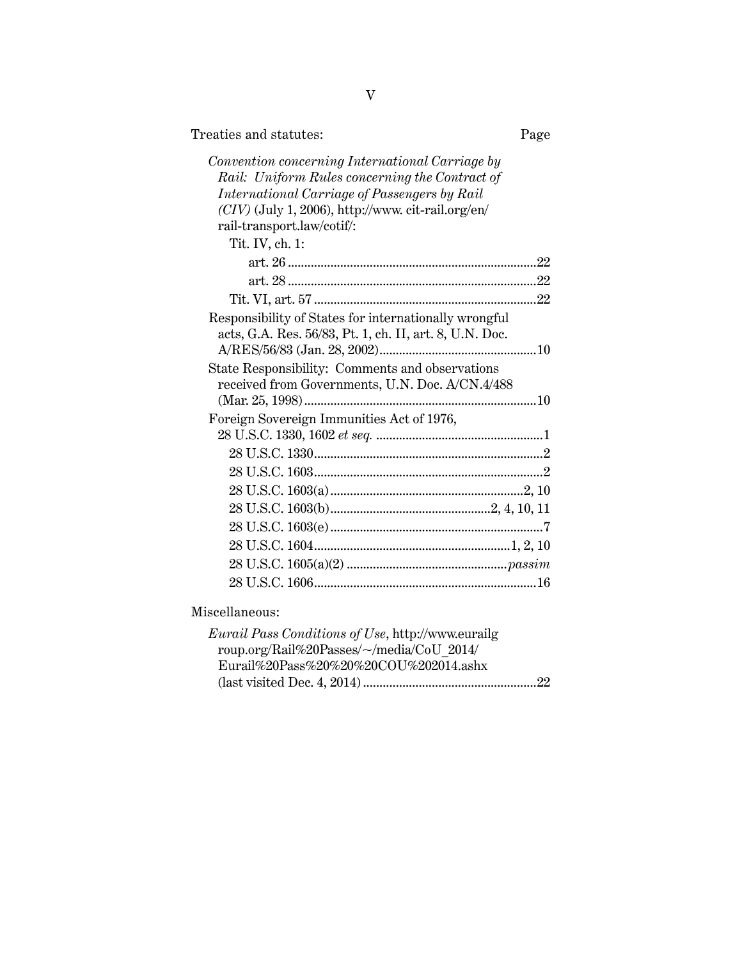| Treaties and statutes: | Page |
|------------------------|------|
|------------------------|------|

| Convention concerning International Carriage by         |  |
|---------------------------------------------------------|--|
| Rail: Uniform Rules concerning the Contract of          |  |
| International Carriage of Passengers by Rail            |  |
| $(CIV)$ (July 1, 2006), http://www.cit-rail.org/en/     |  |
| rail-transport.law/cotif/:                              |  |
| Tit. IV, ch. 1:                                         |  |
|                                                         |  |
|                                                         |  |
|                                                         |  |
| Responsibility of States for internationally wrongful   |  |
| acts, G.A. Res. 56/83, Pt. 1, ch. II, art. 8, U.N. Doc. |  |
|                                                         |  |
| State Responsibility: Comments and observations         |  |
| received from Governments, U.N. Doc. A/CN.4/488         |  |
|                                                         |  |
| Foreign Sovereign Immunities Act of 1976,               |  |
|                                                         |  |
|                                                         |  |
|                                                         |  |
|                                                         |  |
|                                                         |  |
|                                                         |  |
|                                                         |  |
|                                                         |  |
|                                                         |  |
|                                                         |  |

Miscellaneous:

| <i>Eurail Pass Conditions of Use</i> , http://www.eurailg |  |
|-----------------------------------------------------------|--|
| roup.org/Rail%20Passes/~/media/CoU 2014/                  |  |
| Eurail%20Pass%20%20%20COU%202014.ashx                     |  |
|                                                           |  |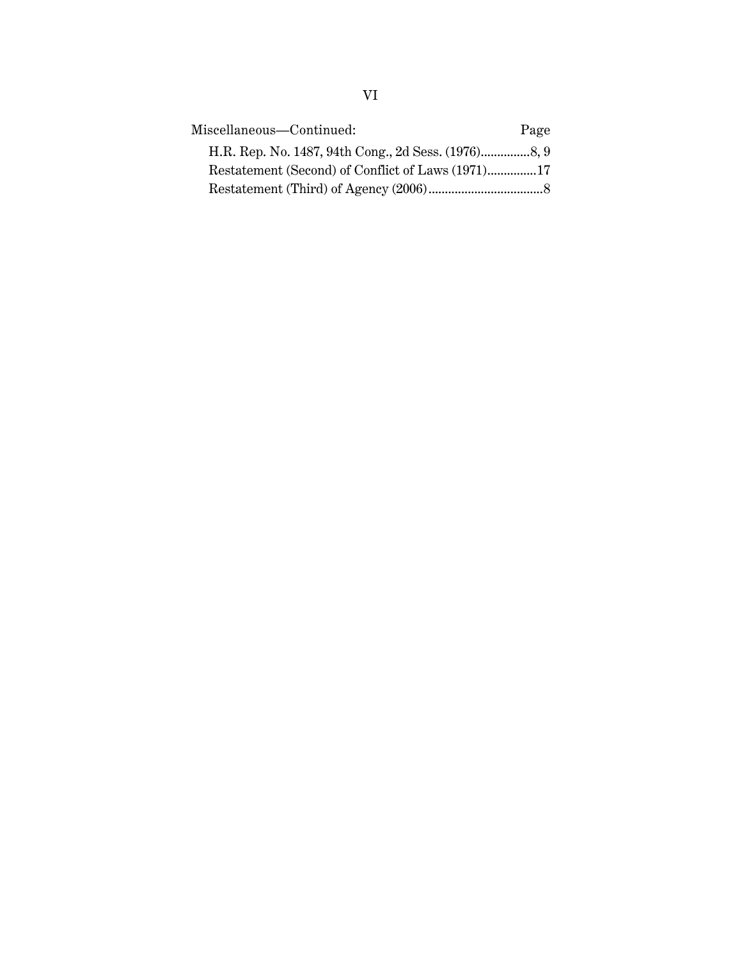| Miscellaneous-Continued: | Page |
|--------------------------|------|
|                          |      |
|                          |      |
|                          |      |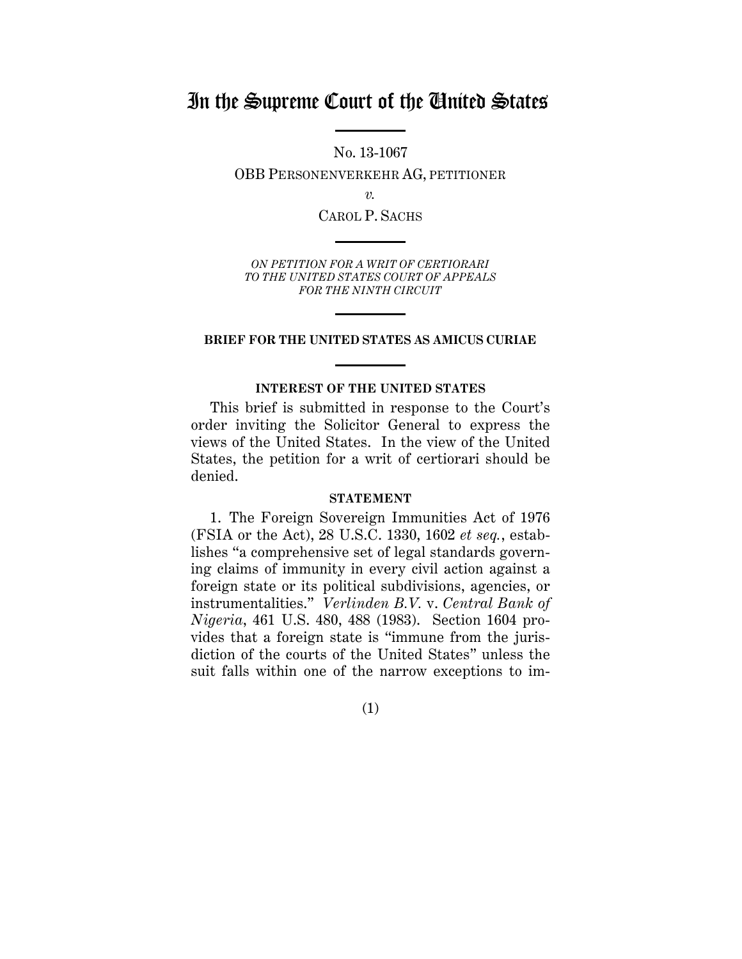## In the Supreme Court of the United States

No. 13-1067

OBB PERSONENVERKEHR AG, PETITIONER

*v.*

CAROL P. SACHS

*ON PETITION FOR A WRIT OF CERTIORARI TO THE UNITED STATES COURT OF APPEALS FOR THE NINTH CIRCUIT*

#### **BRIEF FOR THE UNITED STATES AS AMICUS CURIAE**

#### **INTEREST OF THE UNITED STATES**

This brief is submitted in response to the Court's order inviting the Solicitor General to express the views of the United States. In the view of the United States, the petition for a writ of certiorari should be denied.

#### **STATEMENT**

1. The Foreign Sovereign Immunities Act of 1976 (FSIA or the Act), 28 U.S.C. 1330, 1602 *et seq.*, establishes "a comprehensive set of legal standards governing claims of immunity in every civil action against a foreign state or its political subdivisions, agencies, or instrumentalities." *Verlinden B.V.* v. *Central Bank of Nigeria*, 461 U.S. 480, 488 (1983). Section 1604 provides that a foreign state is "immune from the jurisdiction of the courts of the United States" unless the suit falls within one of the narrow exceptions to im-

(1)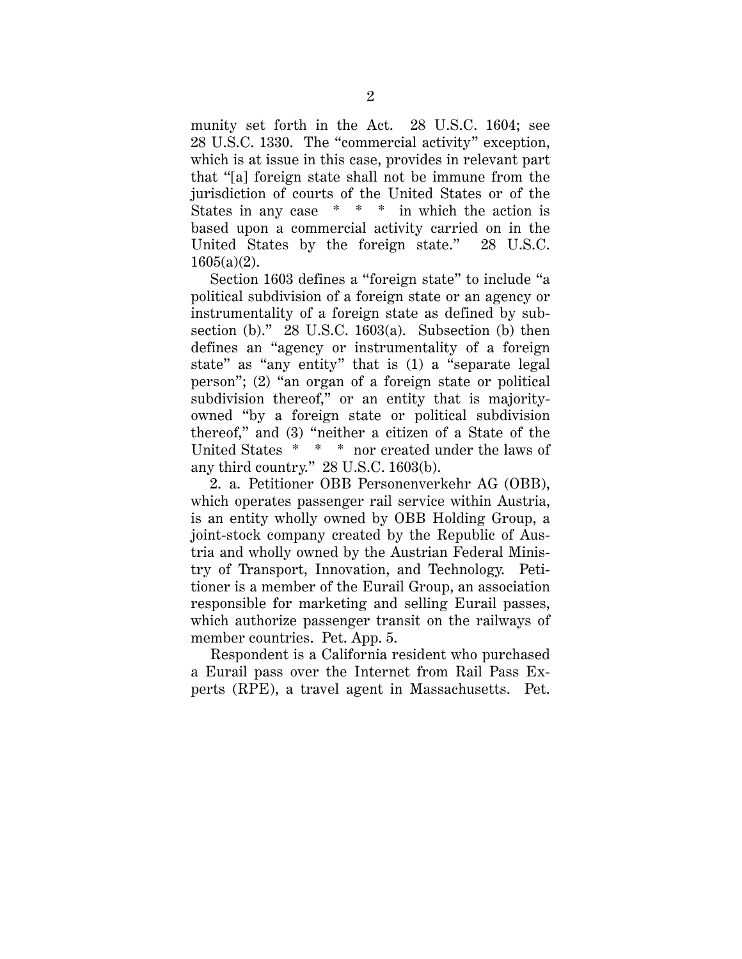munity set forth in the Act. 28 U.S.C. 1604; see 28 U.S.C. 1330. The "commercial activity" exception, which is at issue in this case, provides in relevant part that "[a] foreign state shall not be immune from the jurisdiction of courts of the United States or of the States in any case \* \* \* in which the action is based upon a commercial activity carried on in the United States by the foreign state." 28 U.S.C. 1605(a)(2).

Section 1603 defines a "foreign state" to include "a political subdivision of a foreign state or an agency or instrumentality of a foreign state as defined by subsection (b)."  $28$  U.S.C. 1603(a). Subsection (b) then defines an "agency or instrumentality of a foreign state" as "any entity" that is (1) a "separate legal person"; (2) "an organ of a foreign state or political subdivision thereof," or an entity that is majorityowned "by a foreign state or political subdivision thereof," and (3) "neither a citizen of a State of the United States \* \* \* nor created under the laws of any third country." 28 U.S.C. 1603(b).

2. a. Petitioner OBB Personenverkehr AG (OBB), which operates passenger rail service within Austria, is an entity wholly owned by OBB Holding Group, a joint-stock company created by the Republic of Austria and wholly owned by the Austrian Federal Ministry of Transport, Innovation, and Technology. Petitioner is a member of the Eurail Group, an association responsible for marketing and selling Eurail passes, which authorize passenger transit on the railways of member countries. Pet. App. 5.

Respondent is a California resident who purchased a Eurail pass over the Internet from Rail Pass Experts (RPE), a travel agent in Massachusetts. Pet.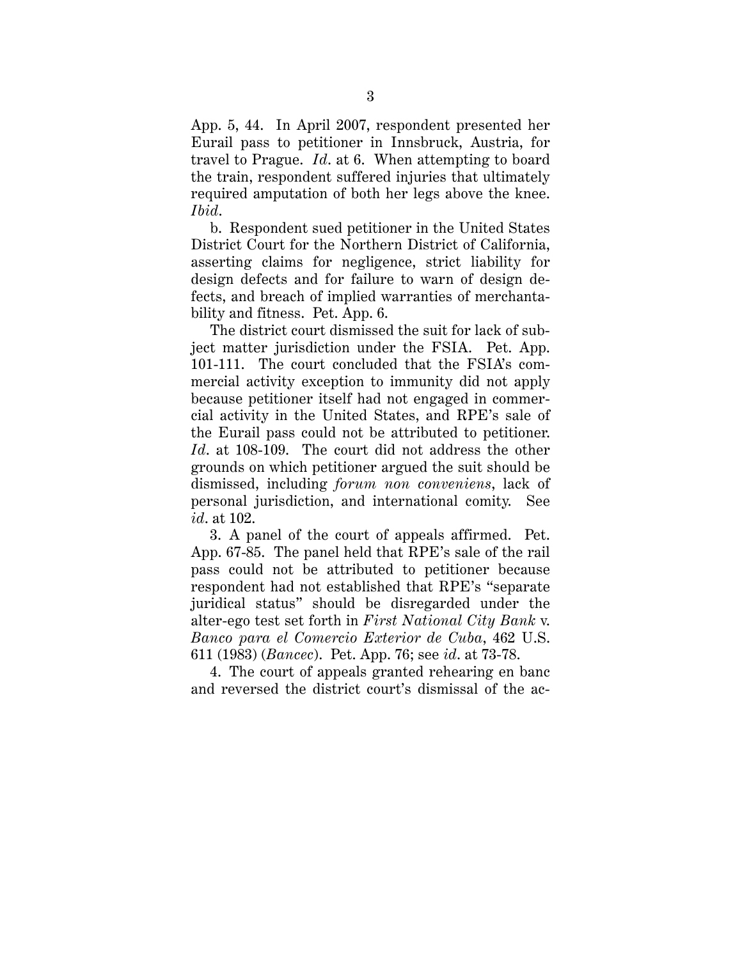App. 5, 44. In April 2007, respondent presented her Eurail pass to petitioner in Innsbruck, Austria, for travel to Prague. *Id*. at 6. When attempting to board the train, respondent suffered injuries that ultimately required amputation of both her legs above the knee. *Ibid*.

b. Respondent sued petitioner in the United States District Court for the Northern District of California, asserting claims for negligence, strict liability for design defects and for failure to warn of design defects, and breach of implied warranties of merchantability and fitness. Pet. App. 6.

The district court dismissed the suit for lack of subject matter jurisdiction under the FSIA. Pet. App. 101-111. The court concluded that the FSIA's commercial activity exception to immunity did not apply because petitioner itself had not engaged in commercial activity in the United States, and RPE's sale of the Eurail pass could not be attributed to petitioner. *Id*. at 108-109. The court did not address the other grounds on which petitioner argued the suit should be dismissed, including *forum non conveniens*, lack of personal jurisdiction, and international comity. See *id*. at 102.

3. A panel of the court of appeals affirmed. Pet. App. 67-85. The panel held that RPE's sale of the rail pass could not be attributed to petitioner because respondent had not established that RPE's "separate juridical status" should be disregarded under the alter-ego test set forth in *First National City Bank* v. *Banco para el Comercio Exterior de Cuba*, 462 U.S. 611 (1983) (*Bancec*). Pet. App. 76; see *id*. at 73-78.

4. The court of appeals granted rehearing en banc and reversed the district court's dismissal of the ac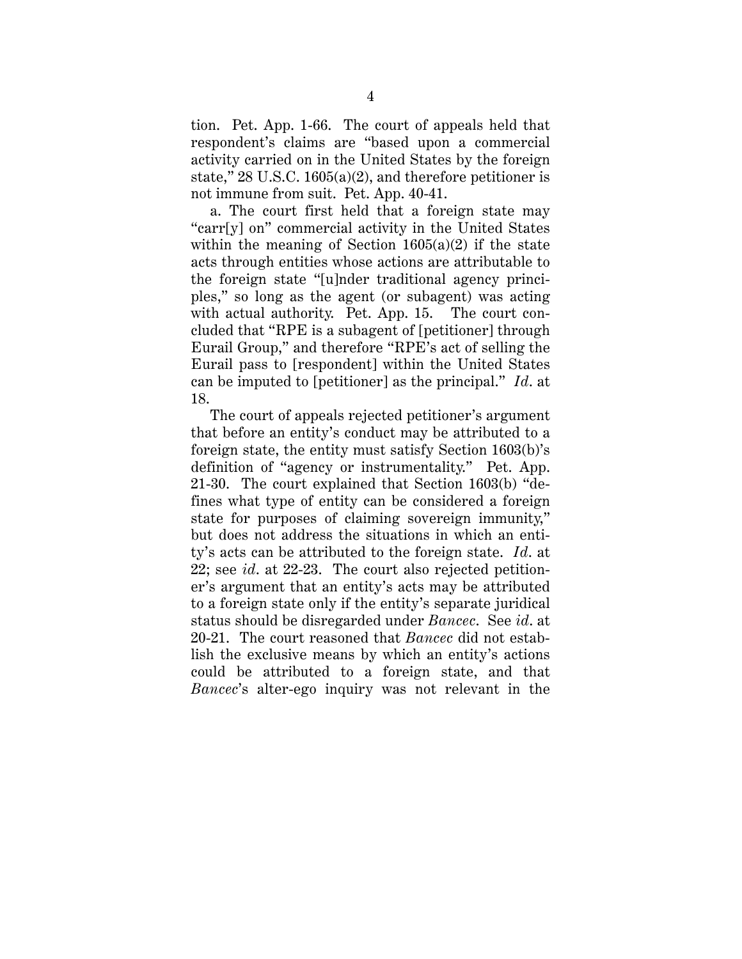tion. Pet. App. 1-66. The court of appeals held that respondent's claims are "based upon a commercial activity carried on in the United States by the foreign state," 28 U.S.C. 1605(a)(2), and therefore petitioner is not immune from suit. Pet. App. 40-41.

a. The court first held that a foreign state may "carr[y] on" commercial activity in the United States within the meaning of Section  $1605(a)(2)$  if the state acts through entities whose actions are attributable to the foreign state "[u]nder traditional agency principles," so long as the agent (or subagent) was acting with actual authority. Pet. App. 15. The court concluded that "RPE is a subagent of [petitioner] through Eurail Group," and therefore "RPE's act of selling the Eurail pass to [respondent] within the United States can be imputed to [petitioner] as the principal." *Id*. at 18.

The court of appeals rejected petitioner's argument that before an entity's conduct may be attributed to a foreign state, the entity must satisfy Section 1603(b)'s definition of "agency or instrumentality." Pet. App. 21-30. The court explained that Section 1603(b) "defines what type of entity can be considered a foreign state for purposes of claiming sovereign immunity," but does not address the situations in which an entity's acts can be attributed to the foreign state. *Id*. at 22; see *id*. at 22-23. The court also rejected petitioner's argument that an entity's acts may be attributed to a foreign state only if the entity's separate juridical status should be disregarded under *Bancec*. See *id*. at 20-21. The court reasoned that *Bancec* did not establish the exclusive means by which an entity's actions could be attributed to a foreign state, and that *Bancec*'s alter-ego inquiry was not relevant in the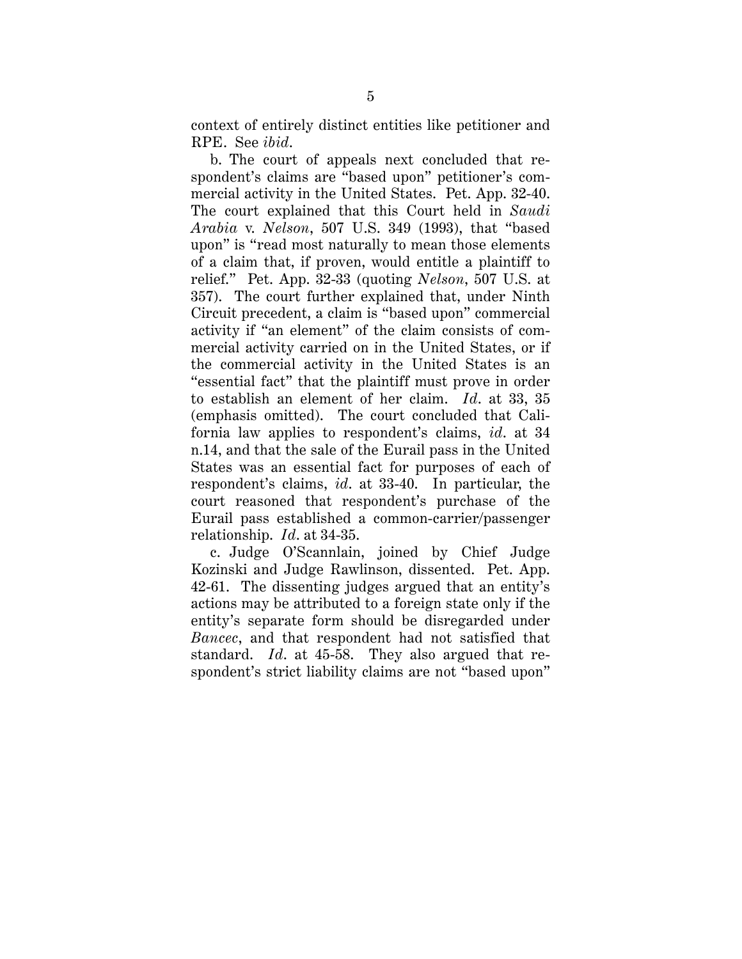context of entirely distinct entities like petitioner and RPE. See *ibid*.

b. The court of appeals next concluded that respondent's claims are "based upon" petitioner's commercial activity in the United States. Pet. App. 32-40. The court explained that this Court held in *Saudi Arabia* v. *Nelson*, 507 U.S. 349 (1993), that "based upon" is "read most naturally to mean those elements of a claim that, if proven, would entitle a plaintiff to relief." Pet. App. 32-33 (quoting *Nelson*, 507 U.S. at 357). The court further explained that, under Ninth Circuit precedent, a claim is "based upon" commercial activity if "an element" of the claim consists of commercial activity carried on in the United States, or if the commercial activity in the United States is an "essential fact" that the plaintiff must prove in order to establish an element of her claim. *Id*. at 33, 35 (emphasis omitted). The court concluded that California law applies to respondent's claims, *id*. at 34 n.14, and that the sale of the Eurail pass in the United States was an essential fact for purposes of each of respondent's claims, *id*. at 33-40. In particular, the court reasoned that respondent's purchase of the Eurail pass established a common-carrier/passenger relationship. *Id*. at 34-35.

c. Judge O'Scannlain, joined by Chief Judge Kozinski and Judge Rawlinson, dissented. Pet. App. 42-61. The dissenting judges argued that an entity's actions may be attributed to a foreign state only if the entity's separate form should be disregarded under *Bancec*, and that respondent had not satisfied that standard. *Id*. at 45-58. They also argued that respondent's strict liability claims are not "based upon"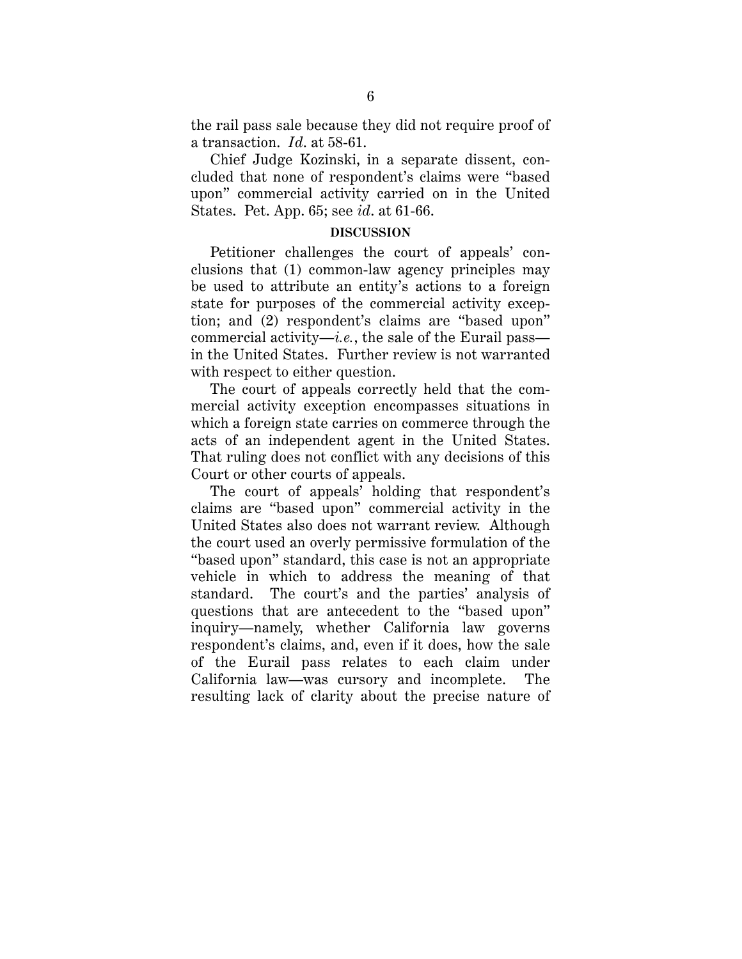the rail pass sale because they did not require proof of a transaction. *Id*. at 58-61.

Chief Judge Kozinski, in a separate dissent, concluded that none of respondent's claims were "based upon" commercial activity carried on in the United States. Pet. App. 65; see *id*. at 61-66.

#### **DISCUSSION**

Petitioner challenges the court of appeals' conclusions that (1) common-law agency principles may be used to attribute an entity's actions to a foreign state for purposes of the commercial activity exception; and (2) respondent's claims are "based upon" commercial activity—*i.e.*, the sale of the Eurail pass in the United States. Further review is not warranted with respect to either question.

The court of appeals correctly held that the commercial activity exception encompasses situations in which a foreign state carries on commerce through the acts of an independent agent in the United States. That ruling does not conflict with any decisions of this Court or other courts of appeals.

The court of appeals' holding that respondent's claims are "based upon" commercial activity in the United States also does not warrant review. Although the court used an overly permissive formulation of the "based upon" standard, this case is not an appropriate vehicle in which to address the meaning of that standard. The court's and the parties' analysis of questions that are antecedent to the "based upon" inquiry—namely, whether California law governs respondent's claims, and, even if it does, how the sale of the Eurail pass relates to each claim under California law—was cursory and incomplete. The resulting lack of clarity about the precise nature of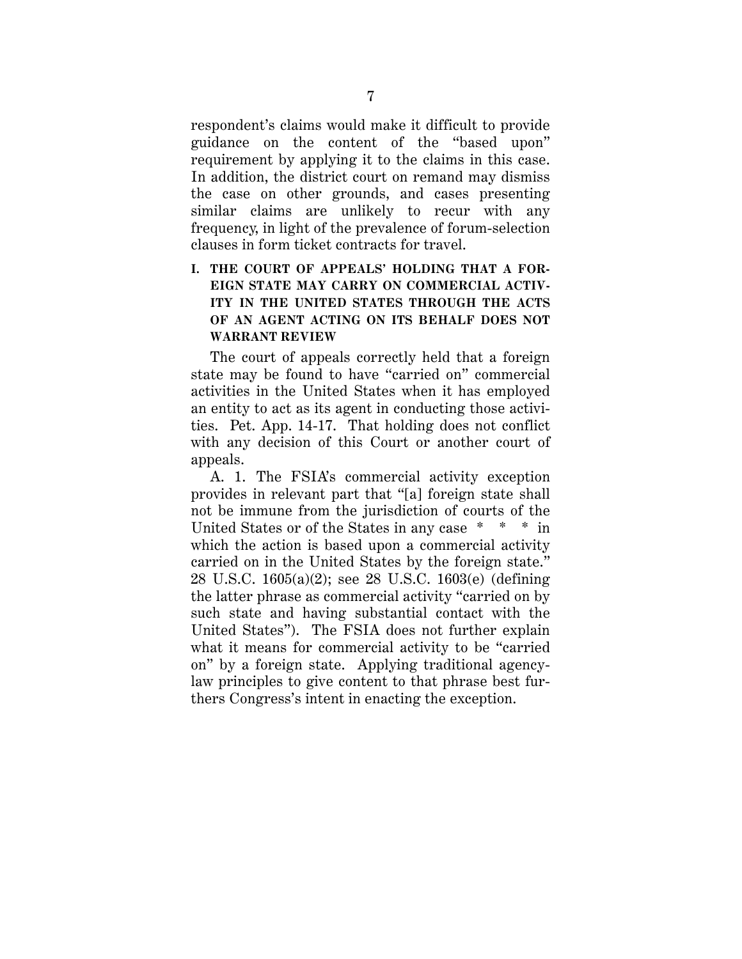respondent's claims would make it difficult to provide guidance on the content of the "based upon" requirement by applying it to the claims in this case. In addition, the district court on remand may dismiss the case on other grounds, and cases presenting similar claims are unlikely to recur with any frequency, in light of the prevalence of forum-selection clauses in form ticket contracts for travel.

## **I. THE COURT OF APPEALS' HOLDING THAT A FOR-EIGN STATE MAY CARRY ON COMMERCIAL ACTIV-ITY IN THE UNITED STATES THROUGH THE ACTS OF AN AGENT ACTING ON ITS BEHALF DOES NOT WARRANT REVIEW**

The court of appeals correctly held that a foreign state may be found to have "carried on" commercial activities in the United States when it has employed an entity to act as its agent in conducting those activities. Pet. App. 14-17. That holding does not conflict with any decision of this Court or another court of appeals.

A. 1. The FSIA's commercial activity exception provides in relevant part that "[a] foreign state shall not be immune from the jurisdiction of courts of the United States or of the States in any case \* \* \* in which the action is based upon a commercial activity carried on in the United States by the foreign state." 28 U.S.C. 1605(a)(2); see 28 U.S.C. 1603(e) (defining the latter phrase as commercial activity "carried on by such state and having substantial contact with the United States"). The FSIA does not further explain what it means for commercial activity to be "carried on" by a foreign state. Applying traditional agencylaw principles to give content to that phrase best furthers Congress's intent in enacting the exception.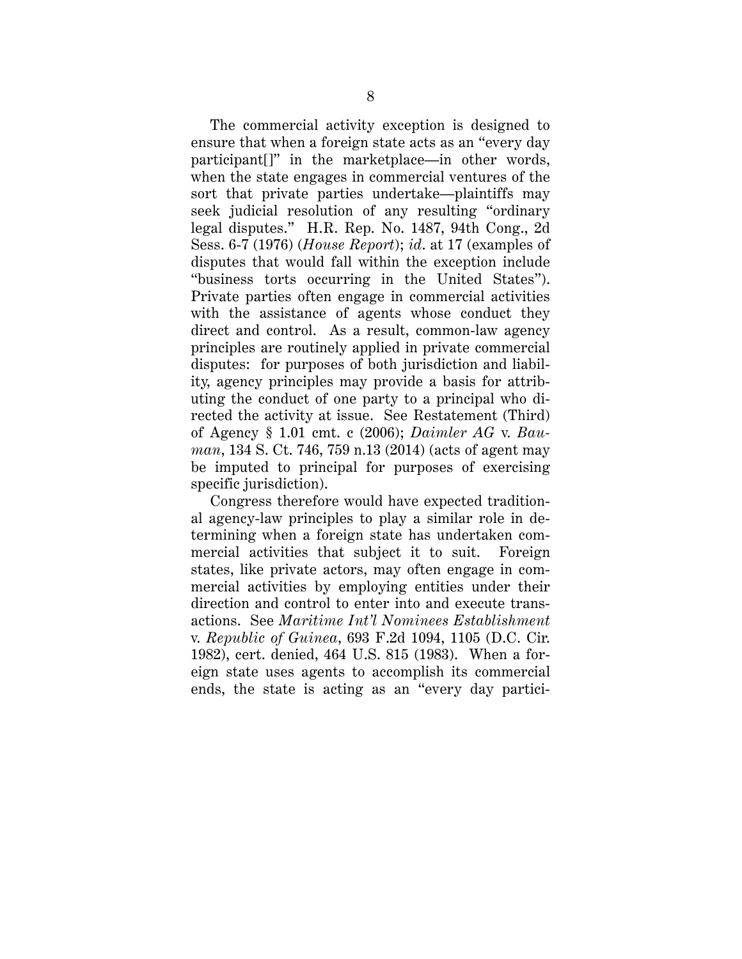The commercial activity exception is designed to ensure that when a foreign state acts as an "every day participant[]" in the marketplace—in other words, when the state engages in commercial ventures of the sort that private parties undertake—plaintiffs may seek judicial resolution of any resulting "ordinary legal disputes." H.R. Rep. No. 1487, 94th Cong., 2d Sess. 6-7 (1976) (*House Report*); *id*. at 17 (examples of disputes that would fall within the exception include "business torts occurring in the United States"). Private parties often engage in commercial activities with the assistance of agents whose conduct they direct and control. As a result, common-law agency principles are routinely applied in private commercial disputes: for purposes of both jurisdiction and liability, agency principles may provide a basis for attributing the conduct of one party to a principal who directed the activity at issue. See Restatement (Third) of Agency § 1.01 cmt. c (2006); *Daimler AG* v. *Bauman*, 134 S. Ct. 746, 759 n.13 (2014) (acts of agent may be imputed to principal for purposes of exercising specific jurisdiction).

Congress therefore would have expected traditional agency-law principles to play a similar role in determining when a foreign state has undertaken commercial activities that subject it to suit. Foreign states, like private actors, may often engage in commercial activities by employing entities under their direction and control to enter into and execute transactions. See *Maritime Int'l Nominees Establishment* v. *Republic of Guinea*, 693 F.2d 1094, 1105 (D.C. Cir. 1982), cert. denied, 464 U.S. 815 (1983). When a foreign state uses agents to accomplish its commercial ends, the state is acting as an "every day partici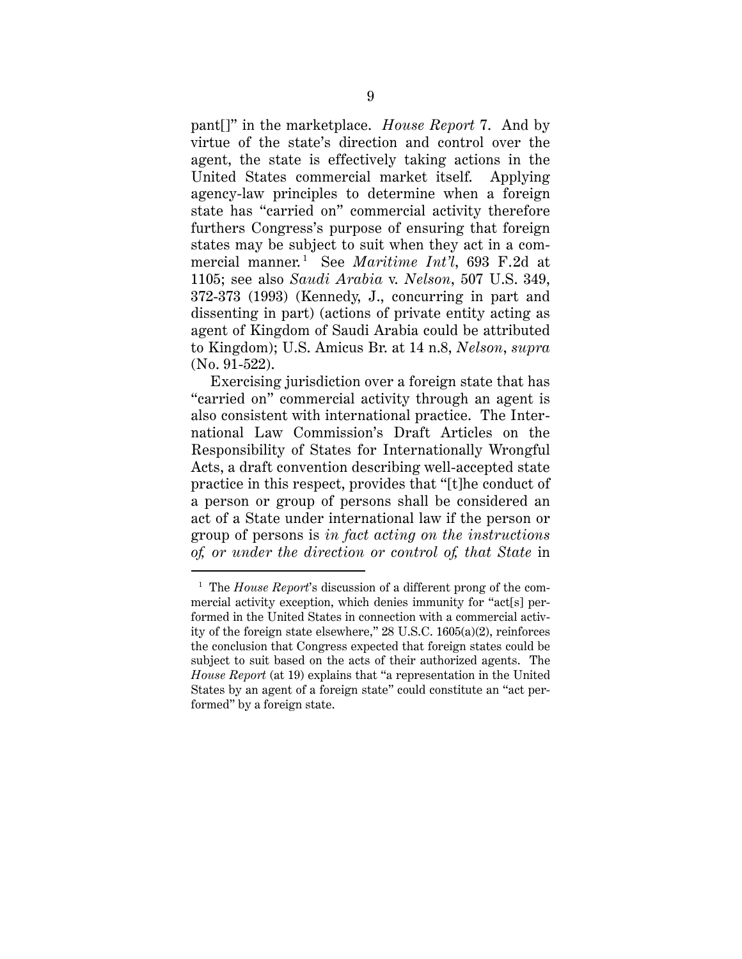pant[]" in the marketplace. *House Report* 7. And by virtue of the state's direction and control over the agent, the state is effectively taking actions in the United States commercial market itself. Applying agency-law principles to determine when a foreign state has "carried on" commercial activity therefore furthers Congress's purpose of ensuring that foreign states may be subject to suit when they act in a commercial manner. <sup>1</sup> See *Maritime Int'l*, 693 F.2d at 1105; see also *Saudi Arabia* v. *Nelson*, 507 U.S. 349, 372-373 (1993) (Kennedy, J., concurring in part and dissenting in part) (actions of private entity acting as agent of Kingdom of Saudi Arabia could be attributed to Kingdom); U.S. Amicus Br. at 14 n.8, *Nelson*, *supra* (No. 91-522).

Exercising jurisdiction over a foreign state that has "carried on" commercial activity through an agent is also consistent with international practice. The International Law Commission's Draft Articles on the Responsibility of States for Internationally Wrongful Acts, a draft convention describing well-accepted state practice in this respect, provides that "[t]he conduct of a person or group of persons shall be considered an act of a State under international law if the person or group of persons is *in fact acting on the instructions of, or under the direction or control of, that State* in

 $\overline{a}$ 

<sup>&</sup>lt;sup>1</sup> The *House Report*'s discussion of a different prong of the commercial activity exception, which denies immunity for "act[s] performed in the United States in connection with a commercial activity of the foreign state elsewhere," 28 U.S.C. 1605(a)(2), reinforces the conclusion that Congress expected that foreign states could be subject to suit based on the acts of their authorized agents. The *House Report* (at 19) explains that "a representation in the United States by an agent of a foreign state" could constitute an "act performed" by a foreign state.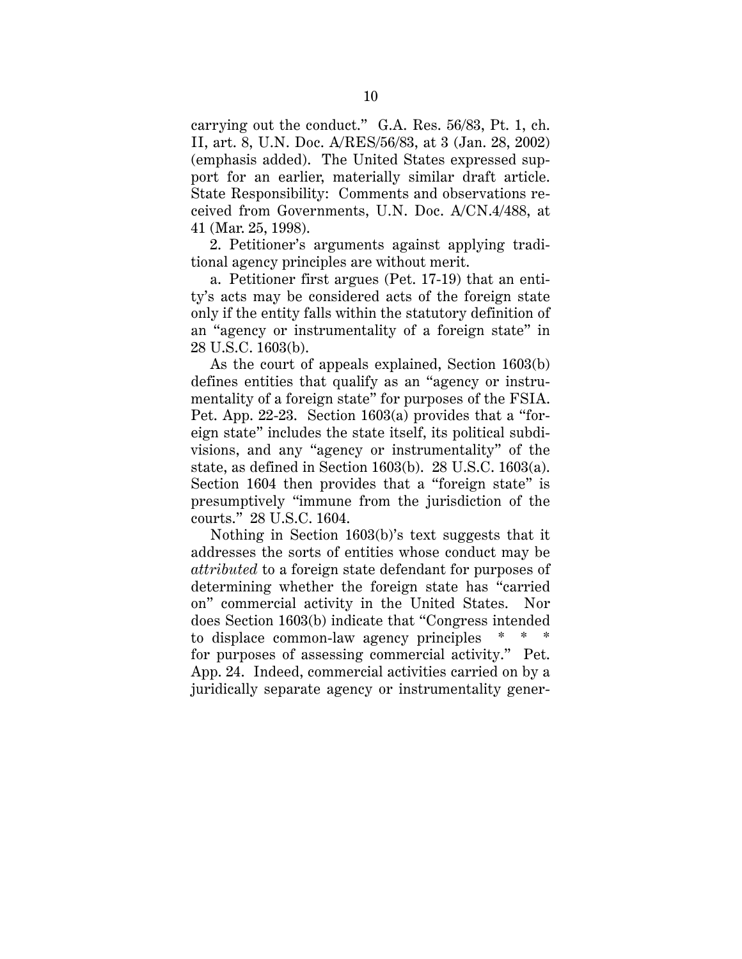carrying out the conduct." G.A. Res. 56/83, Pt. 1, ch. II, art. 8, U.N. Doc. A/RES/56/83, at 3 (Jan. 28, 2002) (emphasis added). The United States expressed support for an earlier, materially similar draft article. State Responsibility: Comments and observations received from Governments, U.N. Doc. A/CN.4/488, at 41 (Mar. 25, 1998).

2. Petitioner's arguments against applying traditional agency principles are without merit.

a. Petitioner first argues (Pet. 17-19) that an entity's acts may be considered acts of the foreign state only if the entity falls within the statutory definition of an "agency or instrumentality of a foreign state" in 28 U.S.C. 1603(b).

As the court of appeals explained, Section 1603(b) defines entities that qualify as an "agency or instrumentality of a foreign state" for purposes of the FSIA. Pet. App. 22-23. Section 1603(a) provides that a "foreign state" includes the state itself, its political subdivisions, and any "agency or instrumentality" of the state, as defined in Section 1603(b). 28 U.S.C. 1603(a). Section 1604 then provides that a "foreign state" is presumptively "immune from the jurisdiction of the courts." 28 U.S.C. 1604.

Nothing in Section 1603(b)'s text suggests that it addresses the sorts of entities whose conduct may be *attributed* to a foreign state defendant for purposes of determining whether the foreign state has "carried on" commercial activity in the United States. Nor does Section 1603(b) indicate that "Congress intended to displace common-law agency principles for purposes of assessing commercial activity." Pet. App. 24. Indeed, commercial activities carried on by a juridically separate agency or instrumentality gener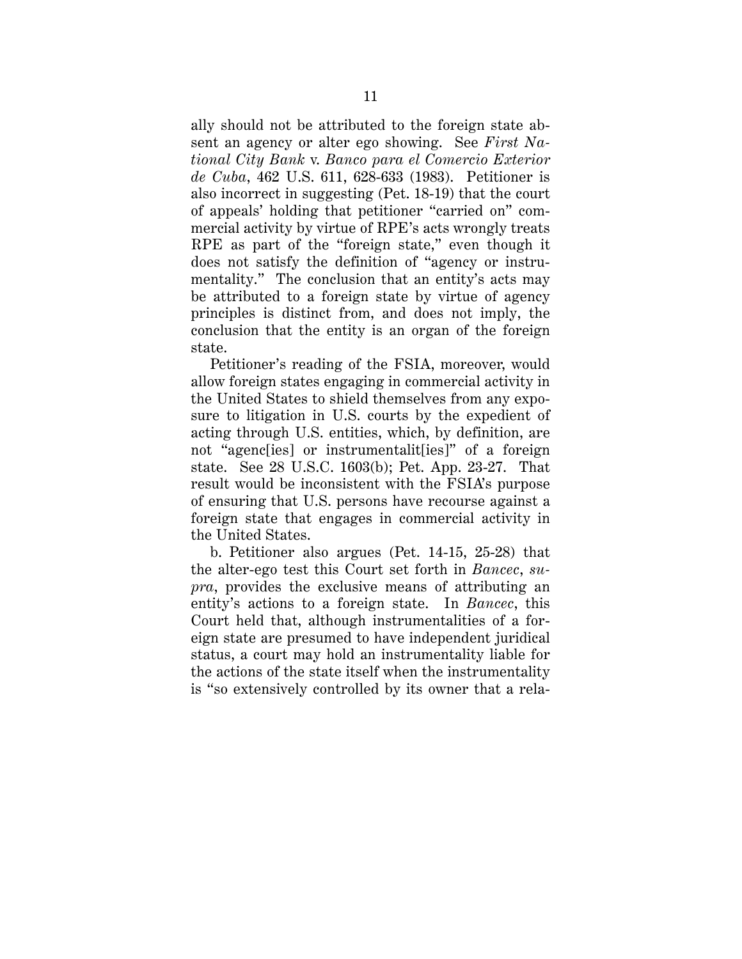ally should not be attributed to the foreign state absent an agency or alter ego showing. See *First National City Bank* v. *Banco para el Comercio Exterior de Cuba*, 462 U.S. 611, 628-633 (1983). Petitioner is also incorrect in suggesting (Pet. 18-19) that the court of appeals' holding that petitioner "carried on" commercial activity by virtue of RPE's acts wrongly treats RPE as part of the "foreign state," even though it does not satisfy the definition of "agency or instrumentality." The conclusion that an entity's acts may be attributed to a foreign state by virtue of agency principles is distinct from, and does not imply, the conclusion that the entity is an organ of the foreign state.

Petitioner's reading of the FSIA, moreover, would allow foreign states engaging in commercial activity in the United States to shield themselves from any exposure to litigation in U.S. courts by the expedient of acting through U.S. entities, which, by definition, are not "agenc[ies] or instrumentalit[ies]" of a foreign state. See 28 U.S.C. 1603(b); Pet. App. 23-27. That result would be inconsistent with the FSIA's purpose of ensuring that U.S. persons have recourse against a foreign state that engages in commercial activity in the United States.

b. Petitioner also argues (Pet. 14-15, 25-28) that the alter-ego test this Court set forth in *Bancec*, *supra*, provides the exclusive means of attributing an entity's actions to a foreign state. In *Bancec*, this Court held that, although instrumentalities of a foreign state are presumed to have independent juridical status, a court may hold an instrumentality liable for the actions of the state itself when the instrumentality is "so extensively controlled by its owner that a rela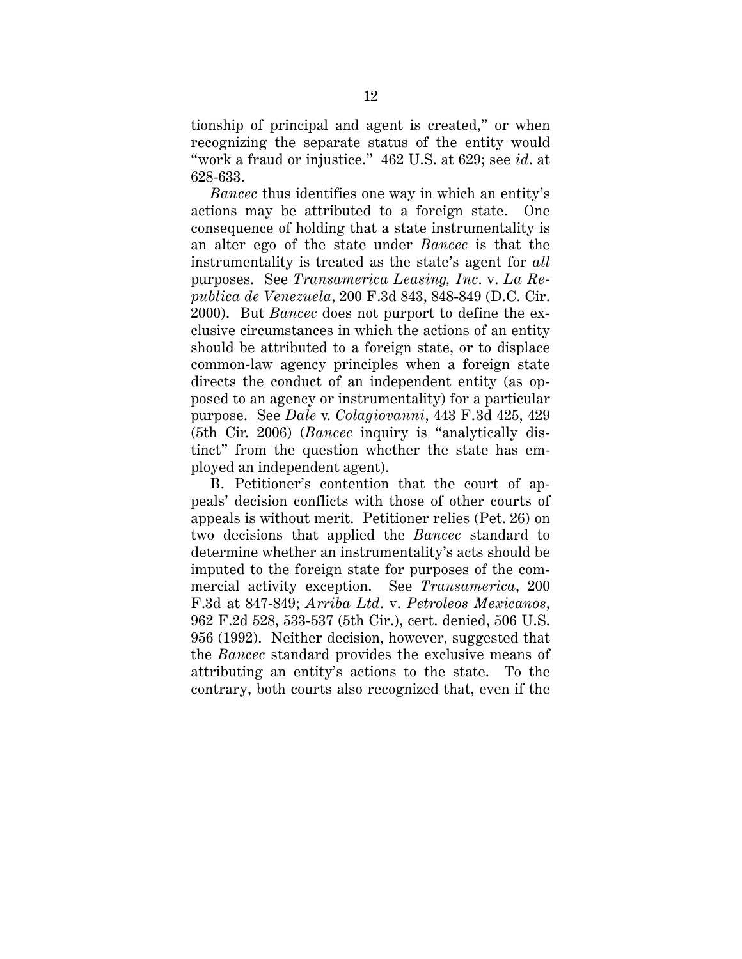tionship of principal and agent is created," or when recognizing the separate status of the entity would "work a fraud or injustice." 462 U.S. at 629; see *id*. at 628-633.

*Bancec* thus identifies one way in which an entity's actions may be attributed to a foreign state. One consequence of holding that a state instrumentality is an alter ego of the state under *Bancec* is that the instrumentality is treated as the state's agent for *all* purposes. See *Transamerica Leasing, Inc*. v. *La Republica de Venezuela*, 200 F.3d 843, 848-849 (D.C. Cir. 2000). But *Bancec* does not purport to define the exclusive circumstances in which the actions of an entity should be attributed to a foreign state, or to displace common-law agency principles when a foreign state directs the conduct of an independent entity (as opposed to an agency or instrumentality) for a particular purpose. See *Dale* v. *Colagiovanni*, 443 F.3d 425, 429 (5th Cir. 2006) (*Bancec* inquiry is "analytically distinct" from the question whether the state has employed an independent agent).

B. Petitioner's contention that the court of appeals' decision conflicts with those of other courts of appeals is without merit. Petitioner relies (Pet. 26) on two decisions that applied the *Bancec* standard to determine whether an instrumentality's acts should be imputed to the foreign state for purposes of the commercial activity exception. See *Transamerica*, 200 F.3d at 847-849; *Arriba Ltd*. v. *Petroleos Mexicanos*, 962 F.2d 528, 533-537 (5th Cir.), cert. denied, 506 U.S. 956 (1992). Neither decision, however, suggested that the *Bancec* standard provides the exclusive means of attributing an entity's actions to the state. To the contrary, both courts also recognized that, even if the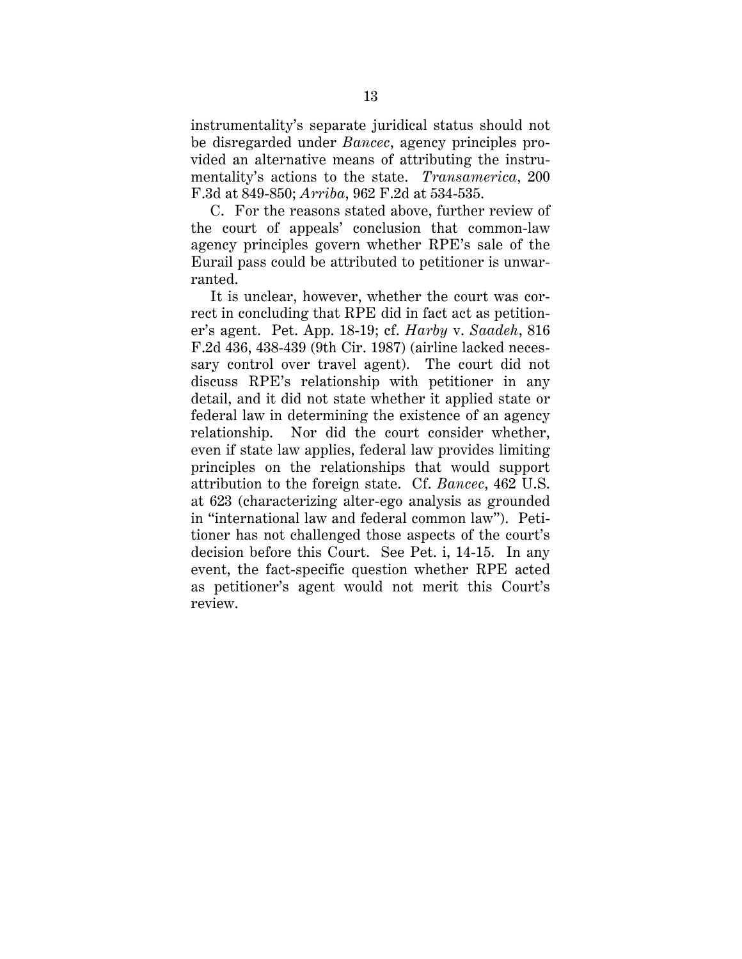instrumentality's separate juridical status should not be disregarded under *Bancec*, agency principles provided an alternative means of attributing the instrumentality's actions to the state. *Transamerica*, 200 F.3d at 849-850; *Arriba*, 962 F.2d at 534-535.

C. For the reasons stated above, further review of the court of appeals' conclusion that common-law agency principles govern whether RPE's sale of the Eurail pass could be attributed to petitioner is unwarranted.

It is unclear, however, whether the court was correct in concluding that RPE did in fact act as petitioner's agent. Pet. App. 18-19; cf. *Harby* v. *Saadeh*, 816 F.2d 436, 438-439 (9th Cir. 1987) (airline lacked necessary control over travel agent). The court did not discuss RPE's relationship with petitioner in any detail, and it did not state whether it applied state or federal law in determining the existence of an agency relationship. Nor did the court consider whether, even if state law applies, federal law provides limiting principles on the relationships that would support attribution to the foreign state. Cf. *Bancec*, 462 U.S. at 623 (characterizing alter-ego analysis as grounded in "international law and federal common law"). Petitioner has not challenged those aspects of the court's decision before this Court. See Pet. i, 14-15. In any event, the fact-specific question whether RPE acted as petitioner's agent would not merit this Court's review.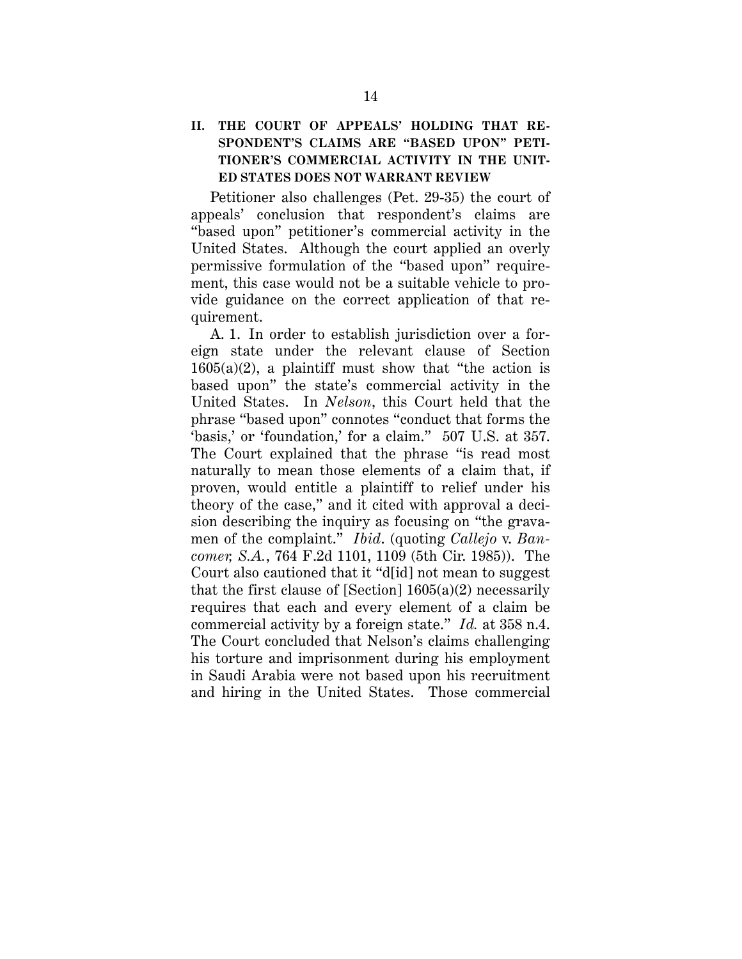## **II. THE COURT OF APPEALS' HOLDING THAT RE-SPONDENT'S CLAIMS ARE "BASED UPON" PETI-TIONER'S COMMERCIAL ACTIVITY IN THE UNIT-ED STATES DOES NOT WARRANT REVIEW**

Petitioner also challenges (Pet. 29-35) the court of appeals' conclusion that respondent's claims are "based upon" petitioner's commercial activity in the United States. Although the court applied an overly permissive formulation of the "based upon" requirement, this case would not be a suitable vehicle to provide guidance on the correct application of that requirement.

A. 1. In order to establish jurisdiction over a foreign state under the relevant clause of Section  $1605(a)(2)$ , a plaintiff must show that "the action is based upon" the state's commercial activity in the United States. In *Nelson*, this Court held that the phrase "based upon" connotes "conduct that forms the 'basis,' or 'foundation,' for a claim." 507 U.S. at 357. The Court explained that the phrase "is read most naturally to mean those elements of a claim that, if proven, would entitle a plaintiff to relief under his theory of the case," and it cited with approval a decision describing the inquiry as focusing on "the gravamen of the complaint." *Ibid*. (quoting *Callejo* v. *Bancomer, S.A.*, 764 F.2d 1101, 1109 (5th Cir. 1985)). The Court also cautioned that it "d[id] not mean to suggest that the first clause of [Section]  $1605(a)(2)$  necessarily requires that each and every element of a claim be commercial activity by a foreign state." *Id.* at 358 n.4. The Court concluded that Nelson's claims challenging his torture and imprisonment during his employment in Saudi Arabia were not based upon his recruitment and hiring in the United States. Those commercial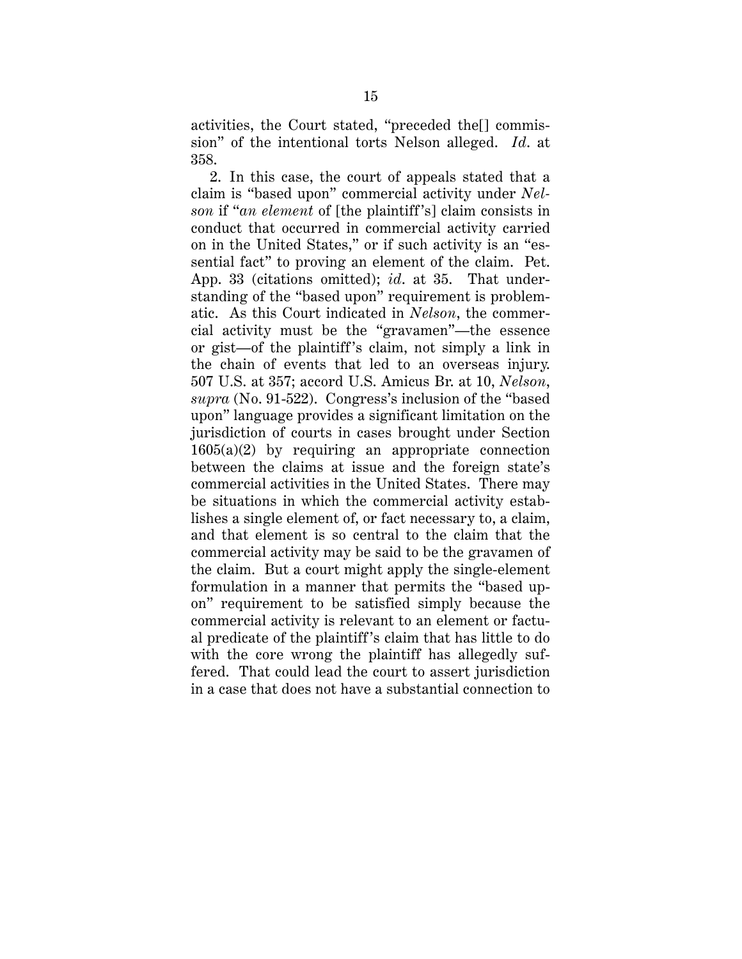activities, the Court stated, "preceded the[] commission" of the intentional torts Nelson alleged. *Id*. at 358.

2. In this case, the court of appeals stated that a claim is "based upon" commercial activity under *Nelson* if "*an element* of [the plaintiff 's] claim consists in conduct that occurred in commercial activity carried on in the United States," or if such activity is an "essential fact" to proving an element of the claim. Pet. App. 33 (citations omitted); *id*. at 35. That understanding of the "based upon" requirement is problematic. As this Court indicated in *Nelson*, the commercial activity must be the "gravamen"—the essence or gist—of the plaintiff 's claim, not simply a link in the chain of events that led to an overseas injury. 507 U.S. at 357; accord U.S. Amicus Br. at 10, *Nelson*, *supra* (No. 91-522). Congress's inclusion of the "based upon" language provides a significant limitation on the jurisdiction of courts in cases brought under Section  $1605(a)(2)$  by requiring an appropriate connection between the claims at issue and the foreign state's commercial activities in the United States. There may be situations in which the commercial activity establishes a single element of, or fact necessary to, a claim, and that element is so central to the claim that the commercial activity may be said to be the gravamen of the claim. But a court might apply the single-element formulation in a manner that permits the "based upon" requirement to be satisfied simply because the commercial activity is relevant to an element or factual predicate of the plaintiff 's claim that has little to do with the core wrong the plaintiff has allegedly suffered. That could lead the court to assert jurisdiction in a case that does not have a substantial connection to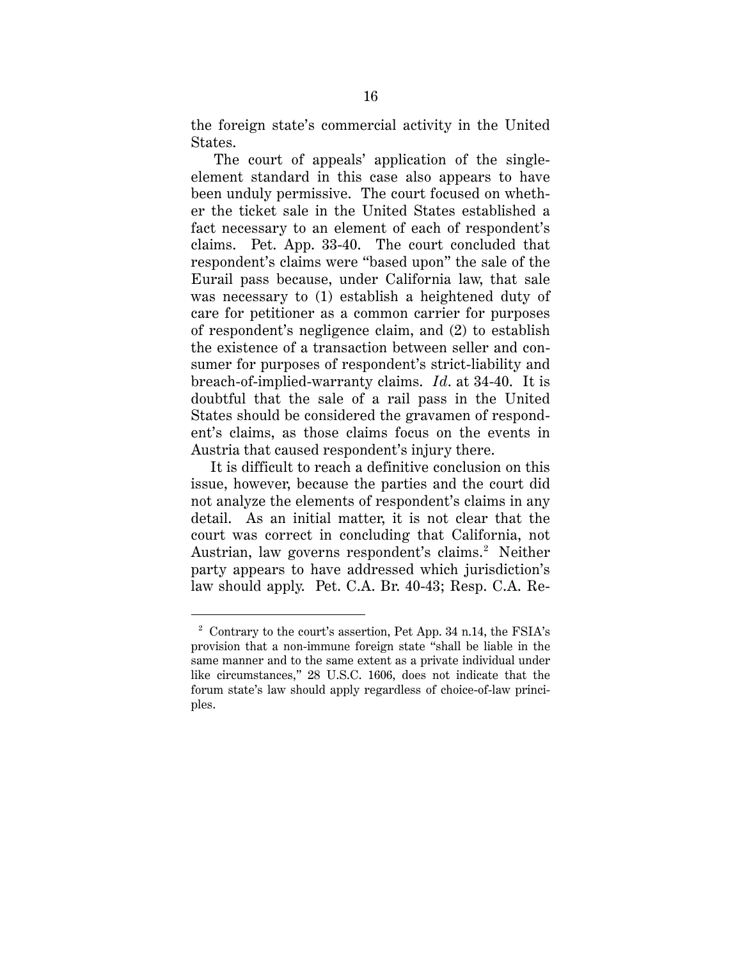the foreign state's commercial activity in the United States.

The court of appeals' application of the singleelement standard in this case also appears to have been unduly permissive. The court focused on whether the ticket sale in the United States established a fact necessary to an element of each of respondent's claims. Pet. App. 33-40. The court concluded that respondent's claims were "based upon" the sale of the Eurail pass because, under California law, that sale was necessary to (1) establish a heightened duty of care for petitioner as a common carrier for purposes of respondent's negligence claim, and (2) to establish the existence of a transaction between seller and consumer for purposes of respondent's strict-liability and breach-of-implied-warranty claims. *Id*. at 34-40. It is doubtful that the sale of a rail pass in the United States should be considered the gravamen of respondent's claims, as those claims focus on the events in Austria that caused respondent's injury there.

It is difficult to reach a definitive conclusion on this issue, however, because the parties and the court did not analyze the elements of respondent's claims in any detail. As an initial matter, it is not clear that the court was correct in concluding that California, not Austrian, law governs respondent's claims. <sup>2</sup> Neither party appears to have addressed which jurisdiction's law should apply. Pet. C.A. Br. 40-43; Resp. C.A. Re-

 $\overline{a}$ 

<sup>&</sup>lt;sup>2</sup> Contrary to the court's assertion, Pet App. 34 n.14, the FSIA's provision that a non-immune foreign state "shall be liable in the same manner and to the same extent as a private individual under like circumstances," 28 U.S.C. 1606, does not indicate that the forum state's law should apply regardless of choice-of-law principles.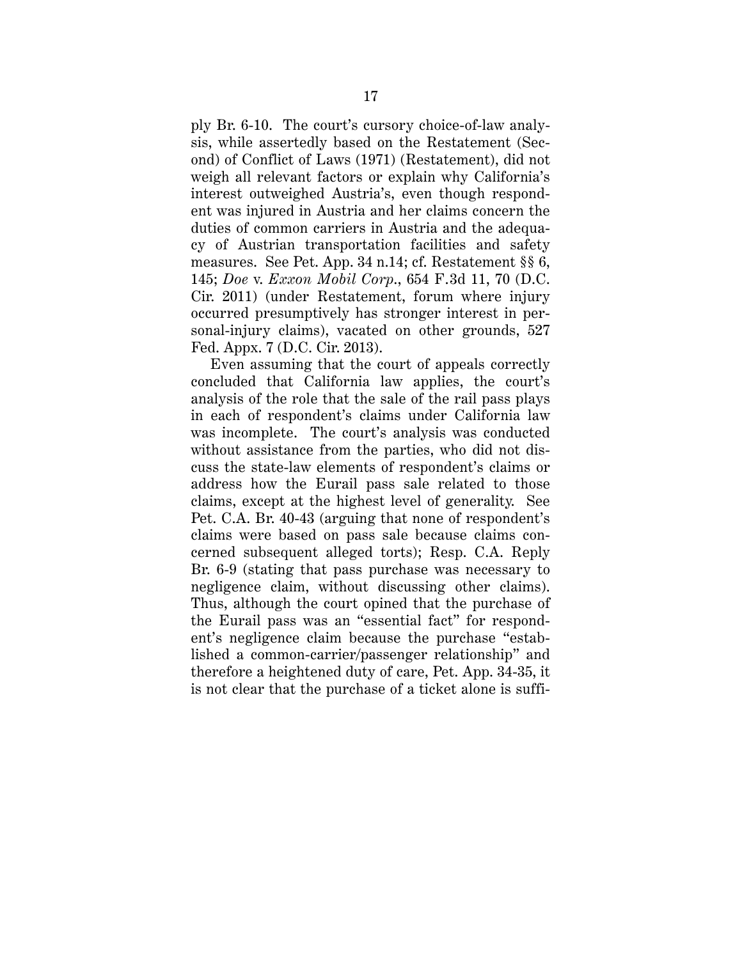ply Br. 6-10. The court's cursory choice-of-law analysis, while assertedly based on the Restatement (Second) of Conflict of Laws (1971) (Restatement), did not weigh all relevant factors or explain why California's interest outweighed Austria's, even though respondent was injured in Austria and her claims concern the duties of common carriers in Austria and the adequacy of Austrian transportation facilities and safety measures. See Pet. App. 34 n.14; cf. Restatement §§ 6, 145; *Doe* v. *Exxon Mobil Corp*., 654 F.3d 11, 70 (D.C. Cir. 2011) (under Restatement, forum where injury occurred presumptively has stronger interest in personal-injury claims), vacated on other grounds, 527 Fed. Appx. 7 (D.C. Cir. 2013).

Even assuming that the court of appeals correctly concluded that California law applies, the court's analysis of the role that the sale of the rail pass plays in each of respondent's claims under California law was incomplete. The court's analysis was conducted without assistance from the parties, who did not discuss the state-law elements of respondent's claims or address how the Eurail pass sale related to those claims, except at the highest level of generality. See Pet. C.A. Br. 40-43 (arguing that none of respondent's claims were based on pass sale because claims concerned subsequent alleged torts); Resp. C.A. Reply Br. 6-9 (stating that pass purchase was necessary to negligence claim, without discussing other claims). Thus, although the court opined that the purchase of the Eurail pass was an "essential fact" for respondent's negligence claim because the purchase "established a common-carrier/passenger relationship" and therefore a heightened duty of care, Pet. App. 34-35, it is not clear that the purchase of a ticket alone is suffi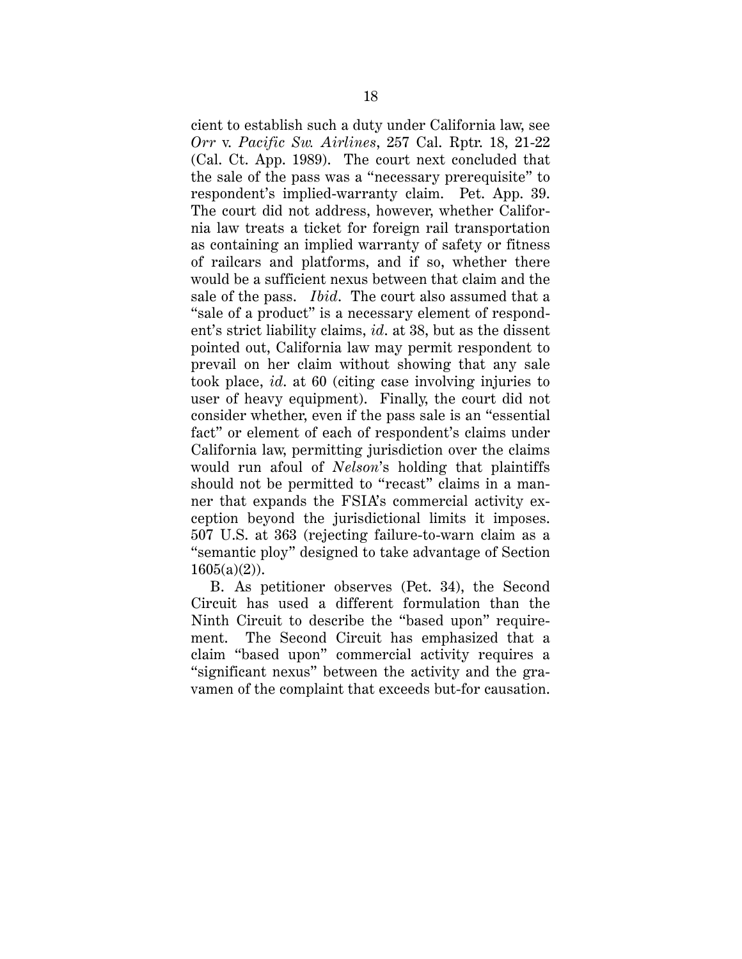cient to establish such a duty under California law, see *Orr* v. *Pacific Sw. Airlines*, 257 Cal. Rptr. 18, 21-22 (Cal. Ct. App. 1989). The court next concluded that the sale of the pass was a "necessary prerequisite" to respondent's implied-warranty claim. Pet. App. 39. The court did not address, however, whether California law treats a ticket for foreign rail transportation as containing an implied warranty of safety or fitness of railcars and platforms, and if so, whether there would be a sufficient nexus between that claim and the sale of the pass. *Ibid*. The court also assumed that a "sale of a product" is a necessary element of respondent's strict liability claims, *id*. at 38, but as the dissent pointed out, California law may permit respondent to prevail on her claim without showing that any sale took place, *id*. at 60 (citing case involving injuries to user of heavy equipment). Finally, the court did not consider whether, even if the pass sale is an "essential fact" or element of each of respondent's claims under California law, permitting jurisdiction over the claims would run afoul of *Nelson*'s holding that plaintiffs should not be permitted to "recast" claims in a manner that expands the FSIA's commercial activity exception beyond the jurisdictional limits it imposes. 507 U.S. at 363 (rejecting failure-to-warn claim as a "semantic ploy" designed to take advantage of Section  $1605(a)(2)$ ).

B. As petitioner observes (Pet. 34), the Second Circuit has used a different formulation than the Ninth Circuit to describe the "based upon" requirement. The Second Circuit has emphasized that a claim "based upon" commercial activity requires a "significant nexus" between the activity and the gravamen of the complaint that exceeds but-for causation.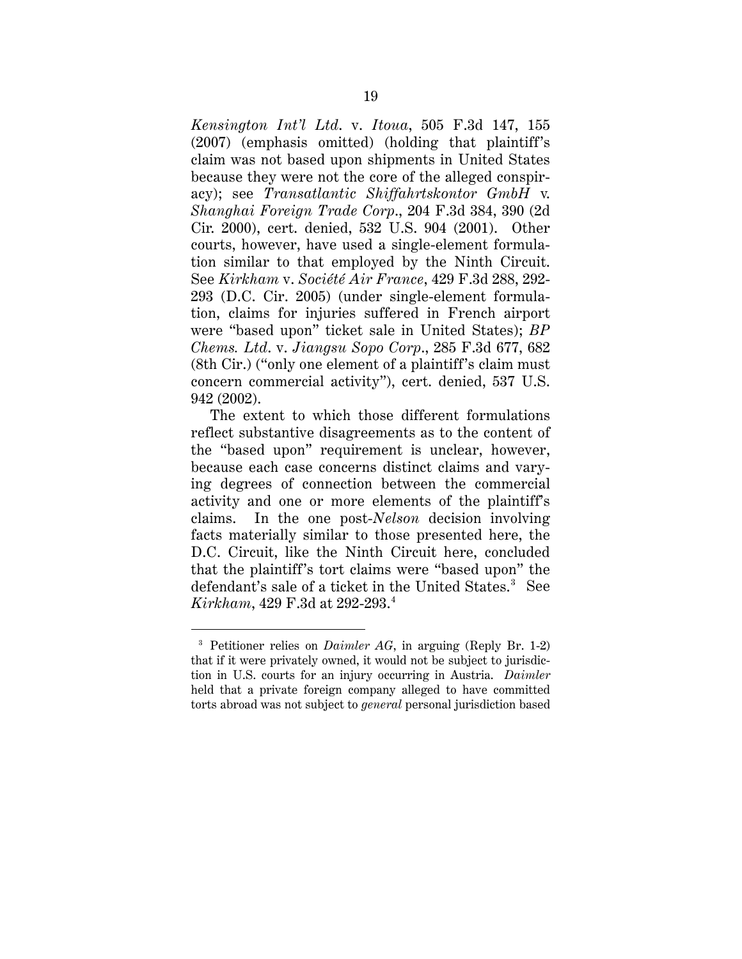*Kensington Int'l Ltd*. v. *Itoua*, 505 F.3d 147, 155 (2007) (emphasis omitted) (holding that plaintiff's claim was not based upon shipments in United States because they were not the core of the alleged conspiracy); see *Transatlantic Shiffahrtskontor GmbH* v. *Shanghai Foreign Trade Corp*., 204 F.3d 384, 390 (2d Cir. 2000), cert. denied, 532 U.S. 904 (2001). Other courts, however, have used a single-element formulation similar to that employed by the Ninth Circuit. See *Kirkham* v. *Société Air France*, 429 F.3d 288, 292- 293 (D.C. Cir. 2005) (under single-element formulation, claims for injuries suffered in French airport were "based upon" ticket sale in United States); *BP Chems. Ltd*. v. *Jiangsu Sopo Corp*., 285 F.3d 677, 682 (8th Cir.) ("only one element of a plaintiff's claim must concern commercial activity"), cert. denied, 537 U.S. 942 (2002).

The extent to which those different formulations reflect substantive disagreements as to the content of the "based upon" requirement is unclear, however, because each case concerns distinct claims and varying degrees of connection between the commercial activity and one or more elements of the plaintiff's claims. In the one post-*Nelson* decision involving facts materially similar to those presented here, the D.C. Circuit, like the Ninth Circuit here, concluded that the plaintiff's tort claims were "based upon" the defendant's sale of a ticket in the United States.<sup>3</sup> See *Kirkham*, 429 F.3d at 292-293. 4

 $\overline{a}$ 

<sup>3</sup> Petitioner relies on *Daimler AG*, in arguing (Reply Br. 1-2) that if it were privately owned, it would not be subject to jurisdiction in U.S. courts for an injury occurring in Austria. *Daimler* held that a private foreign company alleged to have committed torts abroad was not subject to *general* personal jurisdiction based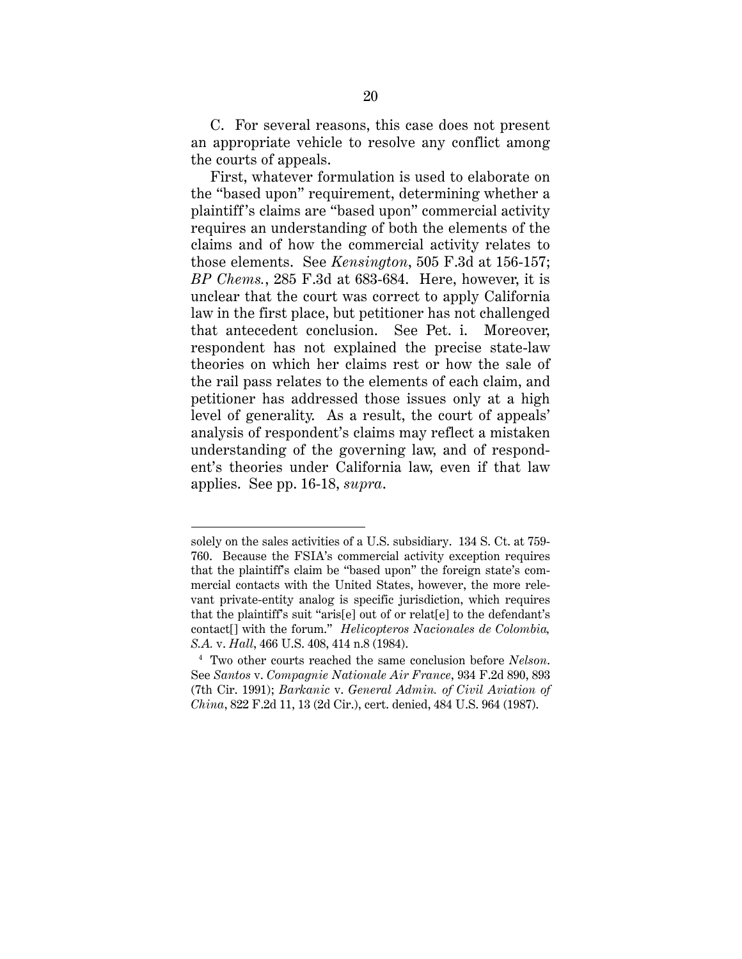C. For several reasons, this case does not present an appropriate vehicle to resolve any conflict among the courts of appeals.

First, whatever formulation is used to elaborate on the "based upon" requirement, determining whether a plaintiff 's claims are "based upon" commercial activity requires an understanding of both the elements of the claims and of how the commercial activity relates to those elements. See *Kensington*, 505 F.3d at 156-157; *BP Chems.*, 285 F.3d at 683-684. Here, however, it is unclear that the court was correct to apply California law in the first place, but petitioner has not challenged that antecedent conclusion. See Pet. i. Moreover, respondent has not explained the precise state-law theories on which her claims rest or how the sale of the rail pass relates to the elements of each claim, and petitioner has addressed those issues only at a high level of generality. As a result, the court of appeals' analysis of respondent's claims may reflect a mistaken understanding of the governing law, and of respondent's theories under California law, even if that law applies. See pp. 16-18, *supra*.

 $\overline{a}$ 

solely on the sales activities of a U.S. subsidiary. 134 S. Ct. at 759- 760. Because the FSIA's commercial activity exception requires that the plaintiff's claim be "based upon" the foreign state's commercial contacts with the United States, however, the more relevant private-entity analog is specific jurisdiction, which requires that the plaintiff's suit "aris[e] out of or relat[e] to the defendant's contact[] with the forum." *Helicopteros Nacionales de Colombia, S.A.* v. *Hall*, 466 U.S. 408, 414 n.8 (1984).

<sup>4</sup> Two other courts reached the same conclusion before *Nelson*. See *Santos* v. *Compagnie Nationale Air France*, 934 F.2d 890, 893 (7th Cir. 1991); *Barkanic* v. *General Admin. of Civil Aviation of China*, 822 F.2d 11, 13 (2d Cir.), cert. denied, 484 U.S. 964 (1987).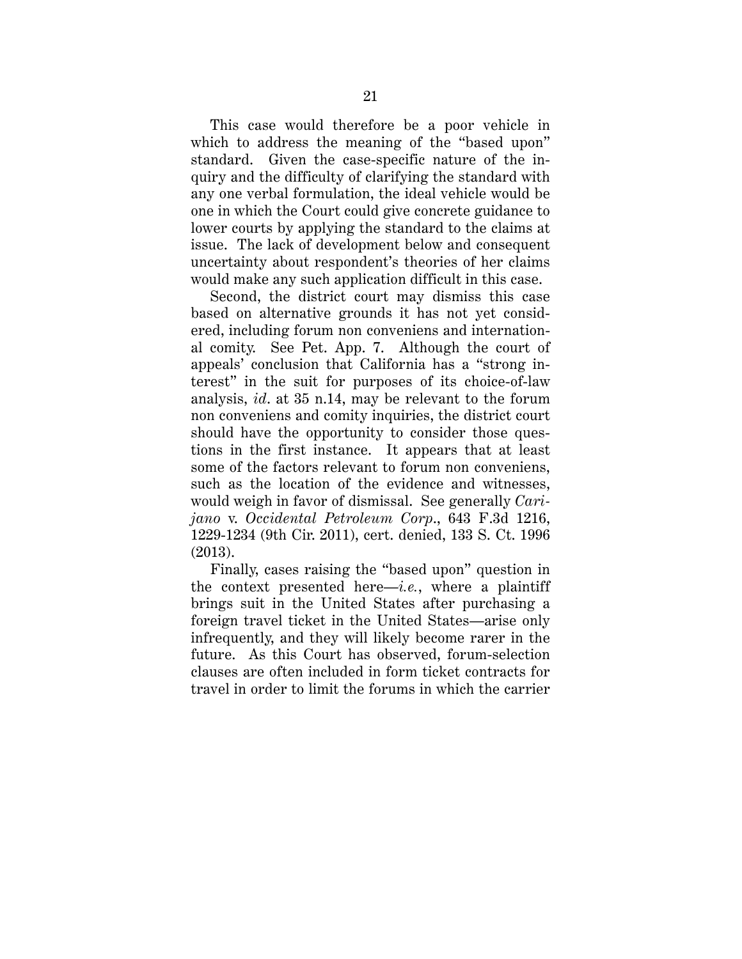This case would therefore be a poor vehicle in which to address the meaning of the "based upon" standard. Given the case-specific nature of the inquiry and the difficulty of clarifying the standard with any one verbal formulation, the ideal vehicle would be one in which the Court could give concrete guidance to lower courts by applying the standard to the claims at issue. The lack of development below and consequent uncertainty about respondent's theories of her claims would make any such application difficult in this case.

Second, the district court may dismiss this case based on alternative grounds it has not yet considered, including forum non conveniens and international comity. See Pet. App. 7. Although the court of appeals' conclusion that California has a "strong interest" in the suit for purposes of its choice-of-law analysis, *id*. at 35 n.14, may be relevant to the forum non conveniens and comity inquiries, the district court should have the opportunity to consider those questions in the first instance. It appears that at least some of the factors relevant to forum non conveniens, such as the location of the evidence and witnesses, would weigh in favor of dismissal. See generally *Carijano* v. *Occidental Petroleum Corp*., 643 F.3d 1216, 1229-1234 (9th Cir. 2011), cert. denied, 133 S. Ct. 1996 (2013).

Finally, cases raising the "based upon" question in the context presented here—*i.e.*, where a plaintiff brings suit in the United States after purchasing a foreign travel ticket in the United States—arise only infrequently, and they will likely become rarer in the future. As this Court has observed, forum-selection clauses are often included in form ticket contracts for travel in order to limit the forums in which the carrier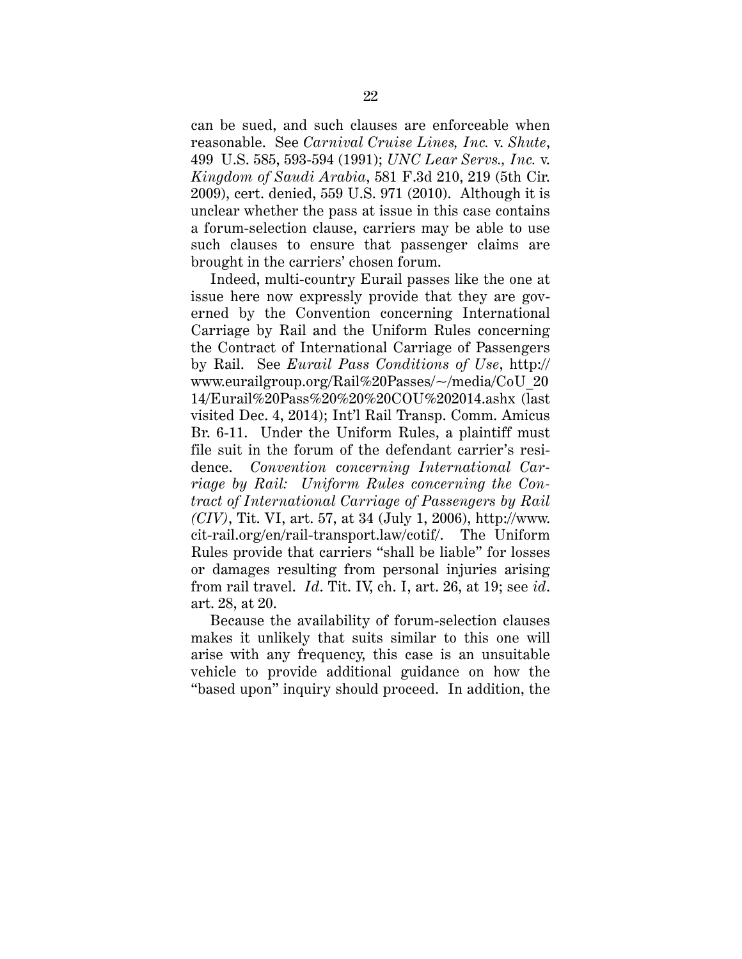can be sued, and such clauses are enforceable when reasonable. See *Carnival Cruise Lines, Inc.* v. *Shute*, 499 U.S. 585, 593-594 (1991); *UNC Lear Servs., Inc.* v. *Kingdom of Saudi Arabia*, 581 F.3d 210, 219 (5th Cir. 2009), cert. denied, 559 U.S. 971 (2010). Although it is unclear whether the pass at issue in this case contains a forum-selection clause, carriers may be able to use such clauses to ensure that passenger claims are brought in the carriers' chosen forum.

Indeed, multi-country Eurail passes like the one at issue here now expressly provide that they are governed by the Convention concerning International Carriage by Rail and the Uniform Rules concerning the Contract of International Carriage of Passengers by Rail. See *Eurail Pass Conditions of Use*, http:// www.eurailgroup.org/Rail%20Passes/~/media/CoU\_20 14/Eurail%20Pass%20%20%20COU%202014.ashx (last visited Dec. 4, 2014); Int'l Rail Transp. Comm. Amicus Br. 6-11. Under the Uniform Rules, a plaintiff must file suit in the forum of the defendant carrier's residence. *Convention concerning International Carriage by Rail: Uniform Rules concerning the Contract of International Carriage of Passengers by Rail (CIV)*, Tit. VI, art. 57, at 34 (July 1, 2006), http://www. cit-rail.org/en/rail-transport.law/cotif/. The Uniform Rules provide that carriers "shall be liable" for losses or damages resulting from personal injuries arising from rail travel. *Id*. Tit. IV, ch. I, art. 26, at 19; see *id*. art. 28, at 20.

Because the availability of forum-selection clauses makes it unlikely that suits similar to this one will arise with any frequency, this case is an unsuitable vehicle to provide additional guidance on how the "based upon" inquiry should proceed. In addition, the